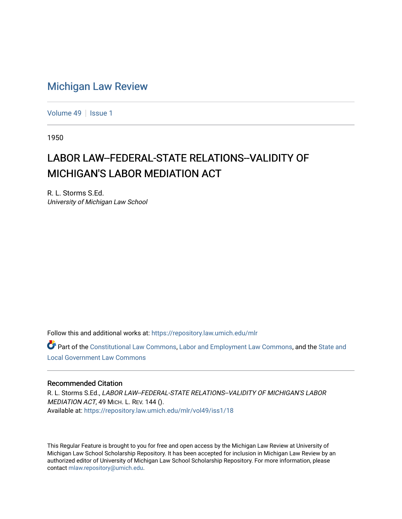## [Michigan Law Review](https://repository.law.umich.edu/mlr)

[Volume 49](https://repository.law.umich.edu/mlr/vol49) | [Issue 1](https://repository.law.umich.edu/mlr/vol49/iss1)

1950

## LABOR LAW--FEDERAL-STATE RELATIONS--VALIDITY OF MICHIGAN'S LABOR MEDIATION ACT

R. L. Storms S.Ed. University of Michigan Law School

Follow this and additional works at: [https://repository.law.umich.edu/mlr](https://repository.law.umich.edu/mlr?utm_source=repository.law.umich.edu%2Fmlr%2Fvol49%2Fiss1%2F18&utm_medium=PDF&utm_campaign=PDFCoverPages) 

Part of the [Constitutional Law Commons,](http://network.bepress.com/hgg/discipline/589?utm_source=repository.law.umich.edu%2Fmlr%2Fvol49%2Fiss1%2F18&utm_medium=PDF&utm_campaign=PDFCoverPages) [Labor and Employment Law Commons](http://network.bepress.com/hgg/discipline/909?utm_source=repository.law.umich.edu%2Fmlr%2Fvol49%2Fiss1%2F18&utm_medium=PDF&utm_campaign=PDFCoverPages), and the [State and](http://network.bepress.com/hgg/discipline/879?utm_source=repository.law.umich.edu%2Fmlr%2Fvol49%2Fiss1%2F18&utm_medium=PDF&utm_campaign=PDFCoverPages)  [Local Government Law Commons](http://network.bepress.com/hgg/discipline/879?utm_source=repository.law.umich.edu%2Fmlr%2Fvol49%2Fiss1%2F18&utm_medium=PDF&utm_campaign=PDFCoverPages)

## Recommended Citation

R. L. Storms S.Ed., LABOR LAW--FEDERAL-STATE RELATIONS--VALIDITY OF MICHIGAN'S LABOR MEDIATION ACT, 49 MICH. L. REV. 144 (). Available at: [https://repository.law.umich.edu/mlr/vol49/iss1/18](https://repository.law.umich.edu/mlr/vol49/iss1/18?utm_source=repository.law.umich.edu%2Fmlr%2Fvol49%2Fiss1%2F18&utm_medium=PDF&utm_campaign=PDFCoverPages) 

This Regular Feature is brought to you for free and open access by the Michigan Law Review at University of Michigan Law School Scholarship Repository. It has been accepted for inclusion in Michigan Law Review by an authorized editor of University of Michigan Law School Scholarship Repository. For more information, please contact [mlaw.repository@umich.edu](mailto:mlaw.repository@umich.edu).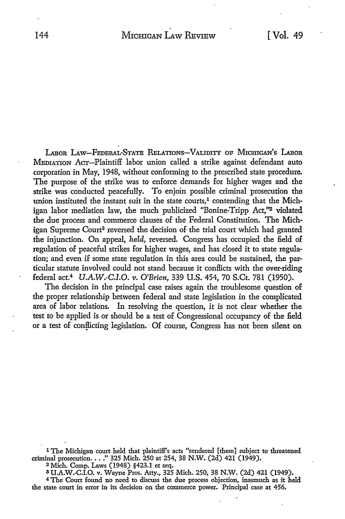LABOR LAW-FEDERAL-STATE RELATIONS-VALIDITY OF MICHIGAN'S LABOR MEDIATION ACT-Plaintiff labor union called a strike against defendant auto corporation in May, 1948, without conforming to the prescribed state procedure. The purpose of the strike was to enforce demands for higher wages and the strike was conducted peacefully. To enjoin possible criminal prosecution the union instituted the instant suit in the state courts, $<sup>1</sup>$  contending that the Mich-</sup> igan labor mediation law, the much publicized "Bonine-Tripp Act,"<sup>2</sup> violated the due process and commerce clauses of the Federal Constitution. The Michigan Supreme Court<sup>3</sup> reversed the decision of the trial court which had granted the injunction. On appeal, *held*, reversed. Congress has occupied the field of regulation of peaceful strikes for higher wages, and has closed it to state regulation; and even if some state regulation in this area could be sustained, the particular statute involved could not stand because it conBicts with the over-riding federal act.4 *U.A.W.-C.I.O. v. O'Brien,* 339 U.S. 454, 70 S.Ct. 781 (1950).

The decision in the principal case raises again the troublesome question of the proper relationship between federal and state legislation in the complicated area of labor relations. In resolving the question, it is not clear whether the test to be applied is or should be a test of Congressional occupancy of the field or a test of conflicting legislation. Of course, Congress has not been silent on

1 The Michigan court held that plaintiff's acts "rendered [them] subject to threatened criminal prosecution .••• " 325 Mich. 250 at 254, 38 N.W. (2d) 421 (1949).

<sup>2</sup>Mich. Comp. Laws (1948) §423.1 et seq.

s U.A.W.-C.I.O. v. Wayne Pros. Atty., 325 Mich. 250, 38 N.W. (2d) 421 (1949).

<sup>4</sup>The Court found no need to discuss the due process objection, inasmuch as it held the state court in error in its decision on the commerce power. Principal case at 456.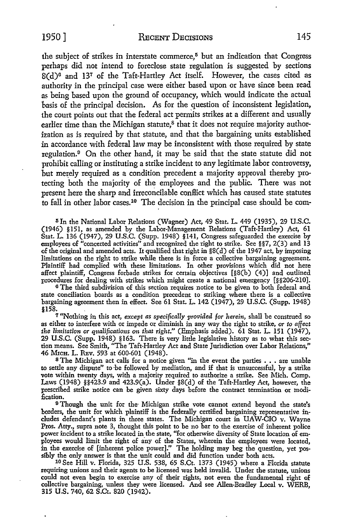the subject of strikes in interstate commerce, $5$  but an indication that Congress perhaps did not intend to foreclose state regulation is suggested by sections S(d)G and 137 of the Taft-Hartley Act itself. However, the cases cited as authority in the principal case were either based upon or have since been read as being based upon the ground of occupancy, which would indicate the actual basis of the principal decision. As for the question of inconsistent legislation, the court points out that the federal act permits strikes at a different and usually earlier time than the Michigan statute, $\delta$  that it does not require majority authorization as is required by that statute, and that the bargaining units established in accordance with federal law may be inconsistent with those required by state regulation.<sup>9</sup> On the other hand, it may be said that the state statute did not prohibit calling or instituting a strike incident to any legitimate labor controversy, but merely required as a condition precedent a majority approval thereby protecting both the majority of the employees and the public. There was not present here the sharp and irreconcilable conflict which has caused state statutes to fall in other labor cases.<sup>10</sup> The decision in the principal case should be com-

<sup>5</sup> In the National Labor Relations (Wagner) Act, 49 Stat. L. 449 (1935), 29 U.S.C. (1946) §151, as amended by the Labor-Management Relations (Taft-Hartley) Act, 61 Stat. L. 136 (1947), 29 U.S.C. (Supp. 1948) §141, Congress safeguarded the exercise by employees of "concerted activities" and recognized the right to strike. See §§7, 2(3) and 13 of the original and amended acts. It qualified that right in §8(d) of the 1947 act, by imposing limitations on the right to strike while there is in force a collective bargaining agreement. Plaintiff had complied with these limitations. In other provisions which did not here affect plaintiff, Congress forbade strikes for certain objectives [§8(b) (4)] and outlined procedures for dealing with strikes which might create a national emergency [§§206-210].

<sup>6</sup> The third subdivision of this section requires notice to be given to both federal and state conciliation boards as a condition precedent to striking where there is a collective bargaining agreement then in effect. See 61 Stat. L. 142 (1947), 29 U.S.C. (Supp. 1948) §158. .

7 "Nothing in this act, *except as specifically provided for herein,* shall be construed so as either to interfere with or impede or diminish in any way the right to strike, *or to affect the limitation or qualifications on that right.''* (Emphasis added). 61 Stat. L. 151 (1947), 29 U.S.C. (Supp. 1948) §163. There is very little legislative history as to what this section means. See Smith, "The Taft-Hartley Act and State Jurisdiction over Labor Relations," 46 MrcH. L. REv. 593 at 600-601 (1948).

<sup>8</sup>The Michigan act calls for a notice given "in the event the parties • • . are unable to settle any dispute" to ·be followed by mediation, and if that is unsuccessful, by a strike vote within twenty days, with a majority required to authorize a strike. See Mich. Comp. Laws (1948) §§423.9 and 423.9(a). Under §8(d) of the Taft-Hartley Act, however, the prescribed strike notice can be given sixty days before the contract termination or modification.

<sup>9</sup> Though the unit for the Michigan strike vote cannot extend beyond the state's borders, the unit for which plaintiff is the federally certified bargaining representative includes defendant's plants in three states. The Michigan court in UAW-CIO v. Wayne Pros. Atty., supra note 3, thought this point to be no bar to the exercise of inherent police power incident to a strike located in the state, "for otherwise diversity of State location of employees would limit the right of any of the States, wherein the employees were located, in the exercise of [inherent police power].'' The holding may beg the question, yet possibly the only answer is that the unit could and did function under both acts.

<sup>10</sup> See Hill v. Florida, 325 U.S. 538, 65 S.Ct. 1373 (1945) where a Florida statute requiring unions and their agents to be licensed was held invalid. Under the statute, unions could not even begin to exercise any of their rights, not even the fundamental right of collective bargaining, unless they were licensed. And see Allen-Bradley Local v. WERB, 315 U.S. 740, 62 S.Ct. 820 (1942).